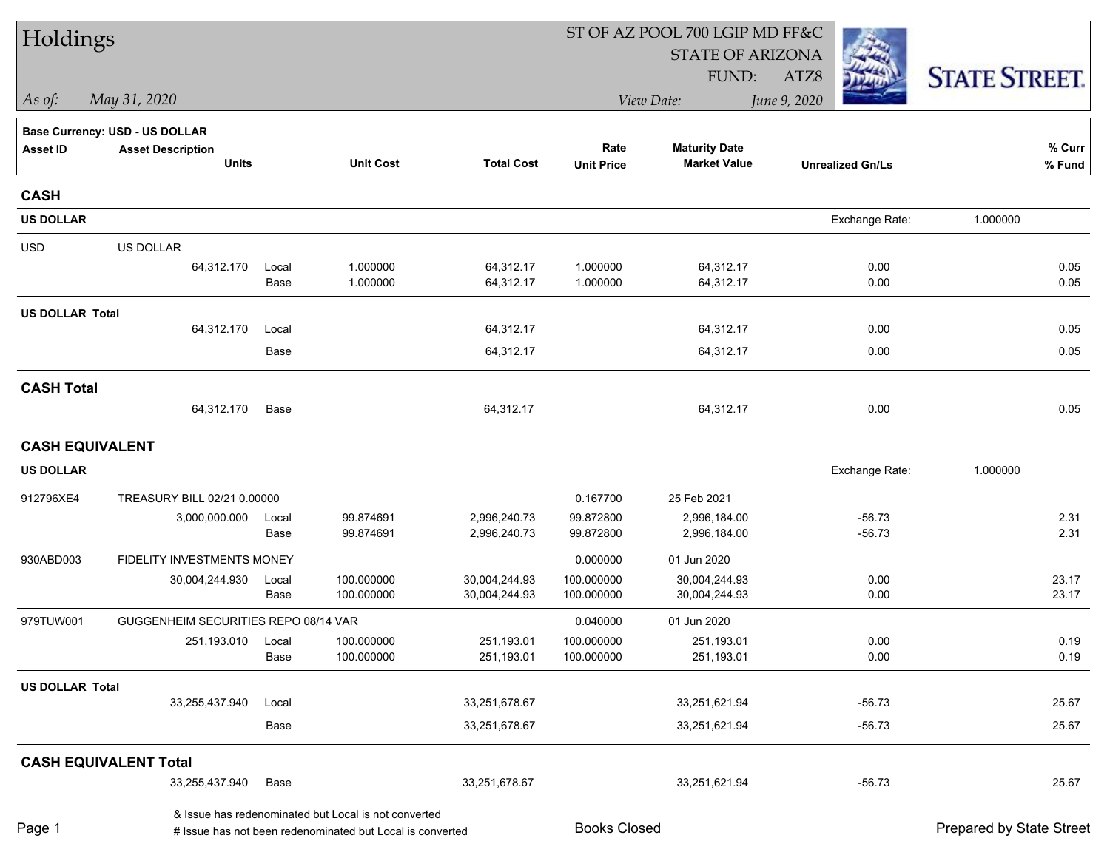| Holdings               |                                      |               | ST OF AZ POOL 700 LGIP MD FF&C                            |                          |                          |                          |                         |                          |  |  |
|------------------------|--------------------------------------|---------------|-----------------------------------------------------------|--------------------------|--------------------------|--------------------------|-------------------------|--------------------------|--|--|
|                        |                                      |               |                                                           |                          |                          | <b>STATE OF ARIZONA</b>  |                         |                          |  |  |
|                        |                                      |               |                                                           |                          |                          | FUND:                    | ATZ8                    | <b>STATE STREET.</b>     |  |  |
| As of:                 | May 31, 2020                         |               |                                                           |                          |                          | View Date:               | June 9, 2020            |                          |  |  |
|                        | Base Currency: USD - US DOLLAR       |               |                                                           |                          |                          |                          |                         |                          |  |  |
| <b>Asset ID</b>        | <b>Asset Description</b>             |               |                                                           |                          | Rate                     | <b>Maturity Date</b>     |                         | % Curr                   |  |  |
|                        | <b>Units</b>                         |               | <b>Unit Cost</b>                                          | <b>Total Cost</b>        | <b>Unit Price</b>        | <b>Market Value</b>      | <b>Unrealized Gn/Ls</b> | % Fund                   |  |  |
| <b>CASH</b>            |                                      |               |                                                           |                          |                          |                          |                         |                          |  |  |
| <b>US DOLLAR</b>       |                                      |               |                                                           |                          |                          |                          | Exchange Rate:          | 1.000000                 |  |  |
| <b>USD</b>             | <b>US DOLLAR</b>                     |               |                                                           |                          |                          |                          |                         |                          |  |  |
|                        | 64,312.170                           | Local         | 1.000000                                                  | 64,312.17                | 1.000000                 | 64,312.17                | 0.00                    | 0.05                     |  |  |
|                        |                                      | Base          | 1.000000                                                  | 64,312.17                | 1.000000                 | 64,312.17                | 0.00                    | 0.05                     |  |  |
| <b>US DOLLAR Total</b> |                                      |               |                                                           |                          |                          |                          |                         |                          |  |  |
|                        | 64,312.170                           | Local         |                                                           | 64,312.17                |                          | 64,312.17                | 0.00                    | 0.05                     |  |  |
|                        |                                      | Base          |                                                           | 64,312.17                |                          | 64,312.17                | 0.00                    | 0.05                     |  |  |
| <b>CASH Total</b>      |                                      |               |                                                           |                          |                          |                          |                         |                          |  |  |
|                        | 64,312.170                           | Base          |                                                           | 64,312.17                |                          | 64,312.17                | 0.00                    | 0.05                     |  |  |
| <b>CASH EQUIVALENT</b> |                                      |               |                                                           |                          |                          |                          |                         |                          |  |  |
| <b>US DOLLAR</b>       |                                      |               |                                                           |                          |                          |                          | Exchange Rate:          | 1.000000                 |  |  |
| 912796XE4              | TREASURY BILL 02/21 0.00000          |               |                                                           |                          | 0.167700                 | 25 Feb 2021              |                         |                          |  |  |
|                        | 3,000,000.000                        | Local         | 99.874691                                                 | 2,996,240.73             | 99.872800                | 2,996,184.00             | $-56.73$                | 2.31                     |  |  |
|                        |                                      | Base          | 99.874691                                                 | 2,996,240.73             | 99.872800                | 2,996,184.00             | $-56.73$                | 2.31                     |  |  |
| 930ABD003              | FIDELITY INVESTMENTS MONEY           |               |                                                           |                          | 0.000000                 | 01 Jun 2020              |                         |                          |  |  |
|                        | 30,004,244.930                       | Local         | 100.000000<br>100.000000                                  | 30,004,244.93            | 100.000000<br>100.000000 | 30,004,244.93            | 0.00<br>0.00            | 23.17                    |  |  |
|                        |                                      | Base          |                                                           | 30,004,244.93            |                          | 30,004,244.93            |                         | 23.17                    |  |  |
| 979TUW001              | GUGGENHEIM SECURITIES REPO 08/14 VAR |               |                                                           |                          | 0.040000                 | 01 Jun 2020              |                         |                          |  |  |
|                        | 251,193.010                          | Local<br>Base | 100.000000<br>100.000000                                  | 251,193.01<br>251,193.01 | 100.000000<br>100.000000 | 251,193.01<br>251,193.01 | 0.00<br>0.00            | 0.19<br>0.19             |  |  |
| <b>US DOLLAR Total</b> |                                      |               |                                                           |                          |                          |                          |                         |                          |  |  |
|                        | 33,255,437.940                       | Local         |                                                           | 33,251,678.67            |                          | 33,251,621.94            | $-56.73$                | 25.67                    |  |  |
|                        |                                      | Base          |                                                           | 33,251,678.67            |                          | 33,251,621.94            | $-56.73$                | 25.67                    |  |  |
|                        | <b>CASH EQUIVALENT Total</b>         |               |                                                           |                          |                          |                          |                         |                          |  |  |
|                        | 33,255,437.940                       | Base          |                                                           | 33,251,678.67            |                          | 33,251,621.94            | $-56.73$                | 25.67                    |  |  |
| Page 1                 |                                      |               | & Issue has redenominated but Local is not converted      |                          | <b>Books Closed</b>      |                          |                         | Prepared by State Street |  |  |
|                        |                                      |               | # Issue has not been redenominated but Local is converted |                          |                          |                          |                         |                          |  |  |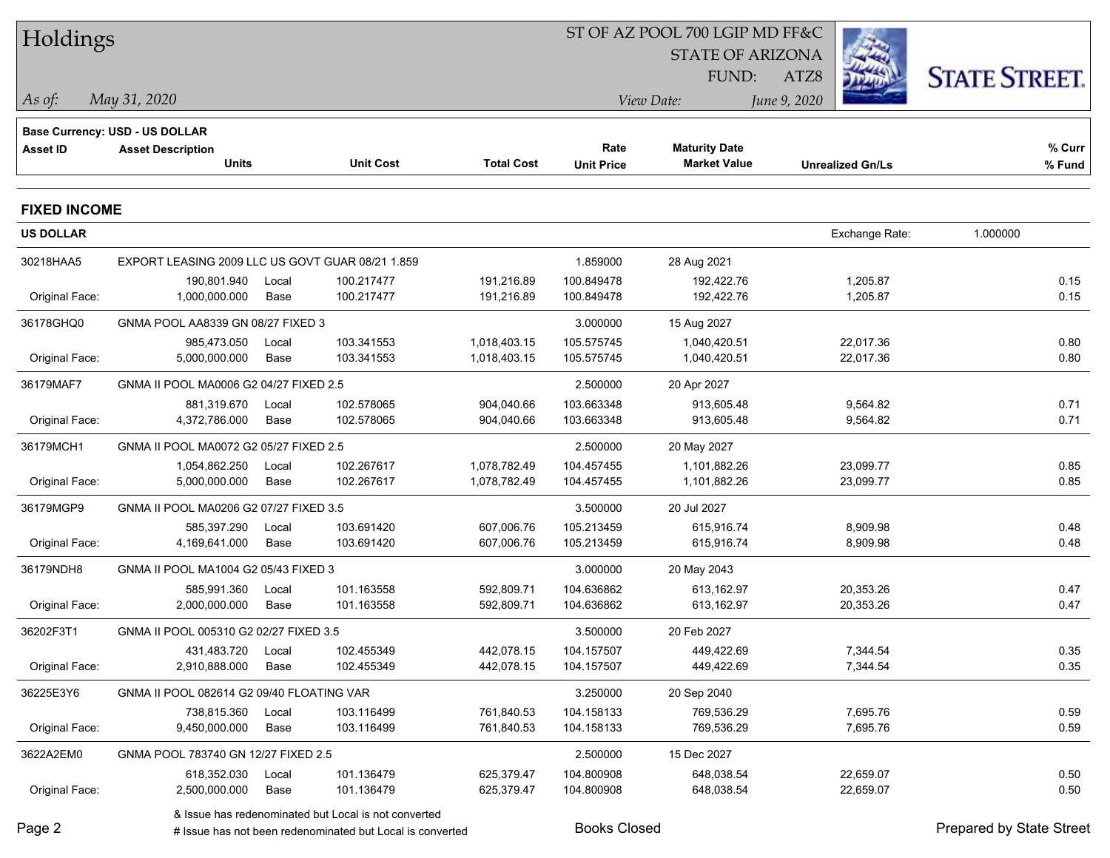| Holdings            |                                                                   |       |                                                           |                   |                     | ST OF AZ POOL 700 LGIP MD FF&C |                         |                                 |  |
|---------------------|-------------------------------------------------------------------|-------|-----------------------------------------------------------|-------------------|---------------------|--------------------------------|-------------------------|---------------------------------|--|
|                     |                                                                   |       |                                                           |                   |                     | <b>STATE OF ARIZONA</b>        |                         |                                 |  |
|                     |                                                                   |       |                                                           |                   |                     | FUND:                          | ATZ8                    | <b>STATE STREET.</b>            |  |
| As of:              | May 31, 2020                                                      |       |                                                           |                   |                     | View Date:                     | June 9, 2020            |                                 |  |
|                     |                                                                   |       |                                                           |                   |                     |                                |                         |                                 |  |
| <b>Asset ID</b>     | <b>Base Currency: USD - US DOLLAR</b><br><b>Asset Description</b> |       |                                                           |                   | Rate                | <b>Maturity Date</b>           |                         | % Curr                          |  |
|                     | <b>Units</b>                                                      |       | <b>Unit Cost</b>                                          | <b>Total Cost</b> | <b>Unit Price</b>   | <b>Market Value</b>            | <b>Unrealized Gn/Ls</b> | % Fund                          |  |
| <b>FIXED INCOME</b> |                                                                   |       |                                                           |                   |                     |                                |                         |                                 |  |
| <b>US DOLLAR</b>    |                                                                   |       |                                                           |                   |                     |                                | Exchange Rate:          | 1.000000                        |  |
| 30218HAA5           | EXPORT LEASING 2009 LLC US GOVT GUAR 08/21 1.859                  |       |                                                           |                   | 1.859000            | 28 Aug 2021                    |                         |                                 |  |
|                     | 190,801.940                                                       | Local | 100.217477                                                | 191,216.89        | 100.849478          | 192,422.76                     | 1,205.87                | 0.15                            |  |
| Original Face:      | 1,000,000.000                                                     | Base  | 100.217477                                                | 191,216.89        | 100.849478          | 192,422.76                     | 1,205.87                | 0.15                            |  |
| 36178GHQ0           | GNMA POOL AA8339 GN 08/27 FIXED 3                                 |       |                                                           |                   | 3.000000            | 15 Aug 2027                    |                         |                                 |  |
|                     | 985,473.050                                                       | Local | 103.341553                                                | 1,018,403.15      | 105.575745          | 1,040,420.51                   | 22,017.36               | 0.80                            |  |
| Original Face:      | 5,000,000.000                                                     | Base  | 103.341553                                                | 1,018,403.15      | 105.575745          | 1,040,420.51                   | 22,017.36               | 0.80                            |  |
| 36179MAF7           | GNMA II POOL MA0006 G2 04/27 FIXED 2.5                            |       |                                                           |                   | 2.500000            | 20 Apr 2027                    |                         |                                 |  |
|                     | 881,319.670                                                       | Local | 102.578065                                                | 904,040.66        | 103.663348          | 913,605.48                     | 9,564.82                | 0.71                            |  |
| Original Face:      | 4,372,786.000                                                     | Base  | 102.578065                                                | 904,040.66        | 103.663348          | 913,605.48                     | 9,564.82                | 0.71                            |  |
| 36179MCH1           | GNMA II POOL MA0072 G2 05/27 FIXED 2.5                            |       |                                                           |                   | 2.500000            | 20 May 2027                    |                         |                                 |  |
|                     | 1,054,862.250                                                     | Local | 102.267617                                                | 1,078,782.49      | 104.457455          | 1,101,882.26                   | 23,099.77               | 0.85                            |  |
| Original Face:      | 5,000,000.000                                                     | Base  | 102.267617                                                | 1,078,782.49      | 104.457455          | 1,101,882.26                   | 23,099.77               | 0.85                            |  |
| 36179MGP9           | GNMA II POOL MA0206 G2 07/27 FIXED 3.5                            |       |                                                           |                   | 3.500000            | 20 Jul 2027                    |                         |                                 |  |
|                     | 585,397.290                                                       | Local | 103.691420                                                | 607,006.76        | 105.213459          | 615,916.74                     | 8,909.98                | 0.48                            |  |
| Original Face:      | 4,169,641.000                                                     | Base  | 103.691420                                                | 607,006.76        | 105.213459          | 615,916.74                     | 8,909.98                | 0.48                            |  |
| 36179NDH8           | GNMA II POOL MA1004 G2 05/43 FIXED 3                              |       |                                                           |                   | 3.000000            | 20 May 2043                    |                         |                                 |  |
|                     | 585,991.360                                                       | Local | 101.163558                                                | 592,809.71        | 104.636862          | 613,162.97                     | 20,353.26               | 0.47                            |  |
| Original Face:      | 2,000,000.000                                                     | Base  | 101.163558                                                | 592,809.71        | 104.636862          | 613,162.97                     | 20,353.26               | 0.47                            |  |
| 36202F3T1           | GNMA II POOL 005310 G2 02/27 FIXED 3.5                            |       |                                                           |                   | 3.500000            | 20 Feb 2027                    |                         |                                 |  |
|                     | 431,483.720 Local                                                 |       | 102.455349                                                | 442,078.15        | 104.157507          | 449,422.69                     | 7,344.54                | 0.35                            |  |
| Original Face:      | 2,910,888.000                                                     | Base  | 102.455349                                                | 442,078.15        | 104.157507          | 449,422.69                     | 7,344.54                | 0.35                            |  |
| 36225E3Y6           | GNMA II POOL 082614 G2 09/40 FLOATING VAR                         |       |                                                           |                   | 3.250000            | 20 Sep 2040                    |                         |                                 |  |
|                     | 738,815.360                                                       | Local | 103.116499                                                | 761,840.53        | 104.158133          | 769,536.29                     | 7,695.76                | 0.59                            |  |
| Original Face:      | 9,450,000.000                                                     | Base  | 103.116499                                                | 761,840.53        | 104.158133          | 769,536.29                     | 7,695.76                | 0.59                            |  |
| 3622A2EM0           | GNMA POOL 783740 GN 12/27 FIXED 2.5                               |       |                                                           |                   | 2.500000            | 15 Dec 2027                    |                         |                                 |  |
|                     | 618,352.030                                                       | Local | 101.136479                                                | 625,379.47        | 104.800908          | 648,038.54                     | 22,659.07               | 0.50                            |  |
| Original Face:      | 2,500,000.000                                                     | Base  | 101.136479                                                | 625,379.47        | 104.800908          | 648,038.54                     | 22,659.07               | 0.50                            |  |
|                     |                                                                   |       | & Issue has redenominated but Local is not converted      |                   |                     |                                |                         |                                 |  |
| Page 2              |                                                                   |       | # Issue has not been redenominated but Local is converted |                   | <b>Books Closed</b> |                                |                         | <b>Prepared by State Street</b> |  |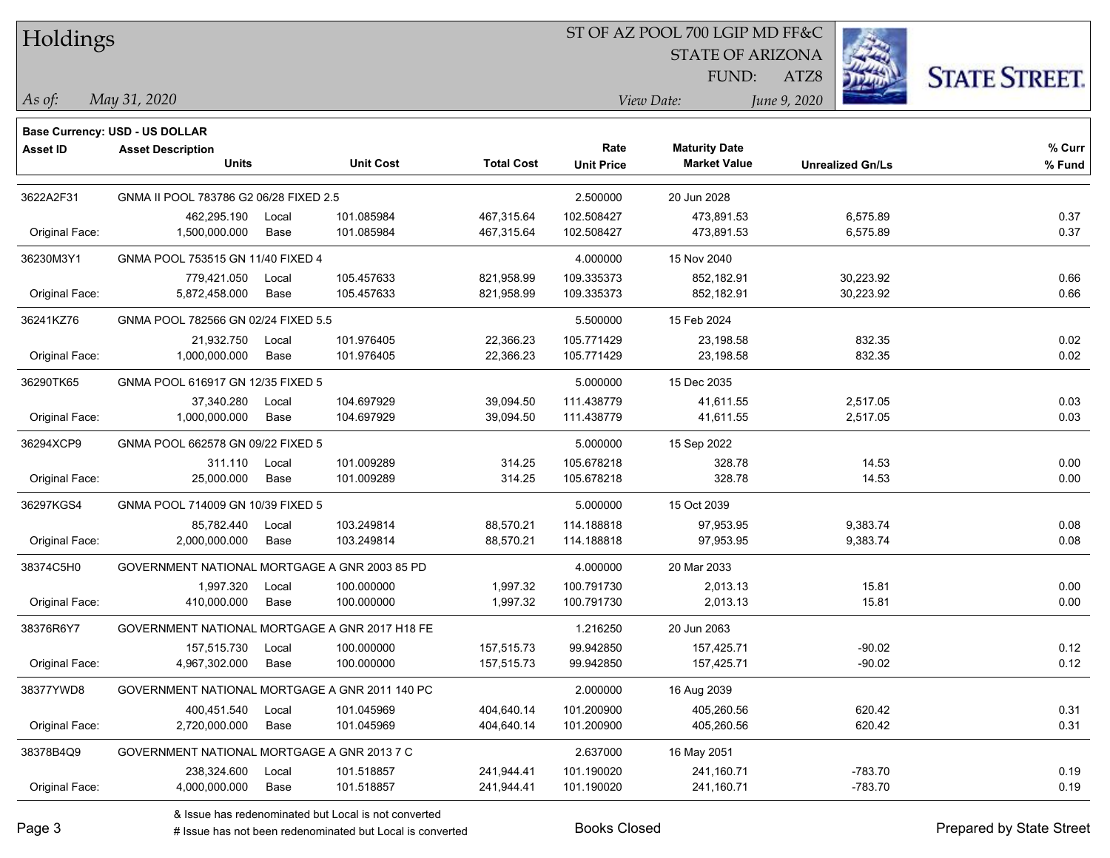### ST OF AZ POOL 700 LGIP MD FF&C

STATE OF ARIZONA

ATZ8



*May 31, 2020 As of: View Date: June 9, 2020*

**Base Currency: USD - US DOLLAR**

FUND:

| Asset ID       | <b>Asset Description</b><br><b>Units</b>    | <b>Unit Cost</b>                               | <b>Total Cost</b> | Rate<br><b>Unit Price</b> | <b>Maturity Date</b><br><b>Market Value</b> | <b>Unrealized Gn/Ls</b> | % Curr<br>% Fund |
|----------------|---------------------------------------------|------------------------------------------------|-------------------|---------------------------|---------------------------------------------|-------------------------|------------------|
| 3622A2F31      | GNMA II POOL 783786 G2 06/28 FIXED 2.5      |                                                |                   | 2.500000                  | 20 Jun 2028                                 |                         |                  |
|                | 462,295.190                                 | 101.085984<br>Local                            | 467,315.64        | 102.508427                | 473,891.53                                  | 6,575.89                | 0.37             |
| Original Face: | 1,500,000.000                               | 101.085984<br>Base                             | 467,315.64        | 102.508427                | 473,891.53                                  | 6,575.89                | 0.37             |
| 36230M3Y1      | GNMA POOL 753515 GN 11/40 FIXED 4           |                                                |                   | 4.000000                  | 15 Nov 2040                                 |                         |                  |
|                | 779,421.050                                 | 105.457633<br>Local                            | 821,958.99        | 109.335373                | 852,182.91                                  | 30,223.92               | 0.66             |
| Original Face: | 5,872,458.000                               | Base<br>105.457633                             | 821,958.99        | 109.335373                | 852,182.91                                  | 30,223.92               | 0.66             |
| 36241KZ76      | GNMA POOL 782566 GN 02/24 FIXED 5.5         |                                                |                   | 5.500000                  | 15 Feb 2024                                 |                         |                  |
|                | 21,932.750                                  | Local<br>101.976405                            | 22,366.23         | 105.771429                | 23,198.58                                   | 832.35                  | 0.02             |
| Original Face: | 1,000,000.000                               | Base<br>101.976405                             | 22,366.23         | 105.771429                | 23,198.58                                   | 832.35                  | 0.02             |
| 36290TK65      | GNMA POOL 616917 GN 12/35 FIXED 5           |                                                |                   | 5.000000                  | 15 Dec 2035                                 |                         |                  |
|                | 37,340.280                                  | 104.697929<br>Local                            | 39,094.50         | 111.438779                | 41,611.55                                   | 2,517.05                | 0.03             |
| Original Face: | 1,000,000.000                               | Base<br>104.697929                             | 39,094.50         | 111.438779                | 41,611.55                                   | 2,517.05                | 0.03             |
| 36294XCP9      | GNMA POOL 662578 GN 09/22 FIXED 5           |                                                |                   | 5.000000                  | 15 Sep 2022                                 |                         |                  |
|                | 311.110                                     | 101.009289<br>Local                            | 314.25            | 105.678218                | 328.78                                      | 14.53                   | 0.00             |
| Original Face: | 25,000.000                                  | 101.009289<br>Base                             | 314.25            | 105.678218                | 328.78                                      | 14.53                   | 0.00             |
| 36297KGS4      | GNMA POOL 714009 GN 10/39 FIXED 5           |                                                |                   | 5.000000                  | 15 Oct 2039                                 |                         |                  |
|                | 85,782.440                                  | 103.249814<br>Local                            | 88,570.21         | 114.188818                | 97,953.95                                   | 9,383.74                | 0.08             |
| Original Face: | 2,000,000.000                               | 103.249814<br>Base                             | 88,570.21         | 114.188818                | 97,953.95                                   | 9,383.74                | 0.08             |
| 38374C5H0      |                                             | GOVERNMENT NATIONAL MORTGAGE A GNR 2003 85 PD  |                   | 4.000000                  | 20 Mar 2033                                 |                         |                  |
|                | 1,997.320                                   | 100.000000<br>Local                            | 1,997.32          | 100.791730                | 2,013.13                                    | 15.81                   | 0.00             |
| Original Face: | 410,000.000                                 | Base<br>100.000000                             | 1,997.32          | 100.791730                | 2,013.13                                    | 15.81                   | 0.00             |
| 38376R6Y7      |                                             | GOVERNMENT NATIONAL MORTGAGE A GNR 2017 H18 FE |                   | 1.216250                  | 20 Jun 2063                                 |                         |                  |
|                | 157,515.730                                 | 100.000000<br>Local                            | 157,515.73        | 99.942850                 | 157,425.71                                  | $-90.02$                | 0.12             |
| Original Face: | 4,967,302.000                               | 100.000000<br>Base                             | 157,515.73        | 99.942850                 | 157,425.71                                  | $-90.02$                | 0.12             |
| 38377YWD8      |                                             | GOVERNMENT NATIONAL MORTGAGE A GNR 2011 140 PC |                   | 2.000000                  | 16 Aug 2039                                 |                         |                  |
|                | 400,451.540                                 | 101.045969<br>Local                            | 404,640.14        | 101.200900                | 405,260.56                                  | 620.42                  | 0.31             |
| Original Face: | 2,720,000.000                               | 101.045969<br>Base                             | 404,640.14        | 101.200900                | 405,260.56                                  | 620.42                  | 0.31             |
| 38378B4Q9      | GOVERNMENT NATIONAL MORTGAGE A GNR 2013 7 C |                                                |                   | 2.637000                  | 16 May 2051                                 |                         |                  |
|                | 238,324.600                                 | 101.518857<br>Local                            | 241,944.41        | 101.190020                | 241,160.71                                  | $-783.70$               | 0.19             |
| Original Face: | 4,000,000.000                               | Base<br>101.518857                             | 241,944.41        | 101.190020                | 241,160.71                                  | $-783.70$               | 0.19             |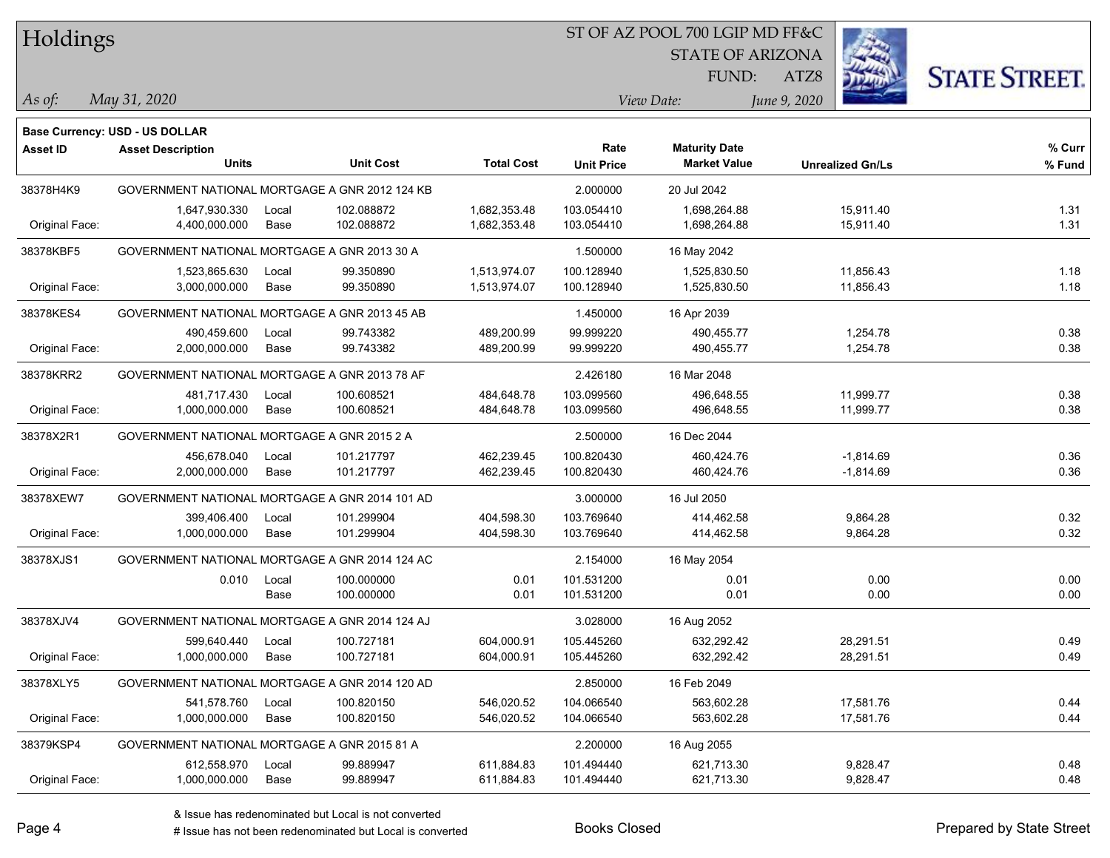#### ST OF AZ POOL 700 LGIP MD FF&C

STATE OF ARIZONA

FUND:



*May 31, 2020 As of: View Date: June 9, 2020*

ATZ8

|                 | <b>Base Currency: USD - US DOLLAR</b>          |       |                  |                   |                   |                      |                         |        |
|-----------------|------------------------------------------------|-------|------------------|-------------------|-------------------|----------------------|-------------------------|--------|
| <b>Asset ID</b> | <b>Asset Description</b>                       |       |                  |                   | Rate              | <b>Maturity Date</b> |                         | % Curr |
|                 | <b>Units</b>                                   |       | <b>Unit Cost</b> | <b>Total Cost</b> | <b>Unit Price</b> | <b>Market Value</b>  | <b>Unrealized Gn/Ls</b> | % Fund |
| 38378H4K9       | GOVERNMENT NATIONAL MORTGAGE A GNR 2012 124 KB |       |                  |                   | 2.000000          | 20 Jul 2042          |                         |        |
|                 | 1,647,930.330                                  | Local | 102.088872       | 1,682,353.48      | 103.054410        | 1,698,264.88         | 15,911.40               | 1.31   |
| Original Face:  | 4,400,000.000                                  | Base  | 102.088872       | 1,682,353.48      | 103.054410        | 1,698,264.88         | 15,911.40               | 1.31   |
| 38378KBF5       | GOVERNMENT NATIONAL MORTGAGE A GNR 2013 30 A   |       |                  |                   | 1.500000          | 16 May 2042          |                         |        |
|                 | 1,523,865.630                                  | Local | 99.350890        | 1,513,974.07      | 100.128940        | 1,525,830.50         | 11,856.43               | 1.18   |
| Original Face:  | 3,000,000.000                                  | Base  | 99.350890        | 1,513,974.07      | 100.128940        | 1,525,830.50         | 11,856.43               | 1.18   |
| 38378KES4       | GOVERNMENT NATIONAL MORTGAGE A GNR 2013 45 AB  |       |                  |                   | 1.450000          | 16 Apr 2039          |                         |        |
|                 | 490,459.600                                    | Local | 99.743382        | 489,200.99        | 99.999220         | 490,455.77           | 1,254.78                | 0.38   |
| Original Face:  | 2,000,000.000                                  | Base  | 99.743382        | 489,200.99        | 99.999220         | 490,455.77           | 1,254.78                | 0.38   |
| 38378KRR2       | GOVERNMENT NATIONAL MORTGAGE A GNR 2013 78 AF  |       |                  |                   | 2.426180          | 16 Mar 2048          |                         |        |
|                 | 481,717.430                                    | Local | 100.608521       | 484,648.78        | 103.099560        | 496,648.55           | 11,999.77               | 0.38   |
| Original Face:  | 1,000,000.000                                  | Base  | 100.608521       | 484,648.78        | 103.099560        | 496,648.55           | 11,999.77               | 0.38   |
| 38378X2R1       | GOVERNMENT NATIONAL MORTGAGE A GNR 2015 2 A    |       |                  |                   | 2.500000          | 16 Dec 2044          |                         |        |
|                 | 456,678.040                                    | Local | 101.217797       | 462,239.45        | 100.820430        | 460,424.76           | $-1,814.69$             | 0.36   |
| Original Face:  | 2,000,000.000                                  | Base  | 101.217797       | 462,239.45        | 100.820430        | 460,424.76           | $-1,814.69$             | 0.36   |
| 38378XEW7       | GOVERNMENT NATIONAL MORTGAGE A GNR 2014 101 AD |       |                  |                   | 3.000000          | 16 Jul 2050          |                         |        |
|                 | 399,406.400                                    | Local | 101.299904       | 404,598.30        | 103.769640        | 414.462.58           | 9,864.28                | 0.32   |
| Original Face:  | 1,000,000.000                                  | Base  | 101.299904       | 404,598.30        | 103.769640        | 414,462.58           | 9,864.28                | 0.32   |
| 38378XJS1       | GOVERNMENT NATIONAL MORTGAGE A GNR 2014 124 AC |       |                  |                   | 2.154000          | 16 May 2054          |                         |        |
|                 | 0.010                                          | Local | 100.000000       | 0.01              | 101.531200        | 0.01                 | 0.00                    | 0.00   |
|                 |                                                | Base  | 100.000000       | 0.01              | 101.531200        | 0.01                 | 0.00                    | 0.00   |
| 38378XJV4       | GOVERNMENT NATIONAL MORTGAGE A GNR 2014 124 AJ |       |                  |                   | 3.028000          | 16 Aug 2052          |                         |        |
|                 | 599,640.440                                    | Local | 100.727181       | 604,000.91        | 105.445260        | 632,292.42           | 28,291.51               | 0.49   |
| Original Face:  | 1,000,000.000                                  | Base  | 100.727181       | 604,000.91        | 105.445260        | 632,292.42           | 28,291.51               | 0.49   |
| 38378XLY5       | GOVERNMENT NATIONAL MORTGAGE A GNR 2014 120 AD |       |                  |                   | 2.850000          | 16 Feb 2049          |                         |        |
|                 | 541,578.760                                    | Local | 100.820150       | 546,020.52        | 104.066540        | 563,602.28           | 17,581.76               | 0.44   |
| Original Face:  | 1,000,000.000                                  | Base  | 100.820150       | 546,020.52        | 104.066540        | 563,602.28           | 17,581.76               | 0.44   |
| 38379KSP4       | GOVERNMENT NATIONAL MORTGAGE A GNR 2015 81 A   |       |                  |                   | 2.200000          | 16 Aug 2055          |                         |        |
|                 | 612,558.970                                    | Local | 99.889947        | 611,884.83        | 101.494440        | 621,713.30           | 9,828.47                | 0.48   |
| Original Face:  | 1,000,000.000                                  | Base  | 99.889947        | 611,884.83        | 101.494440        | 621,713.30           | 9,828.47                | 0.48   |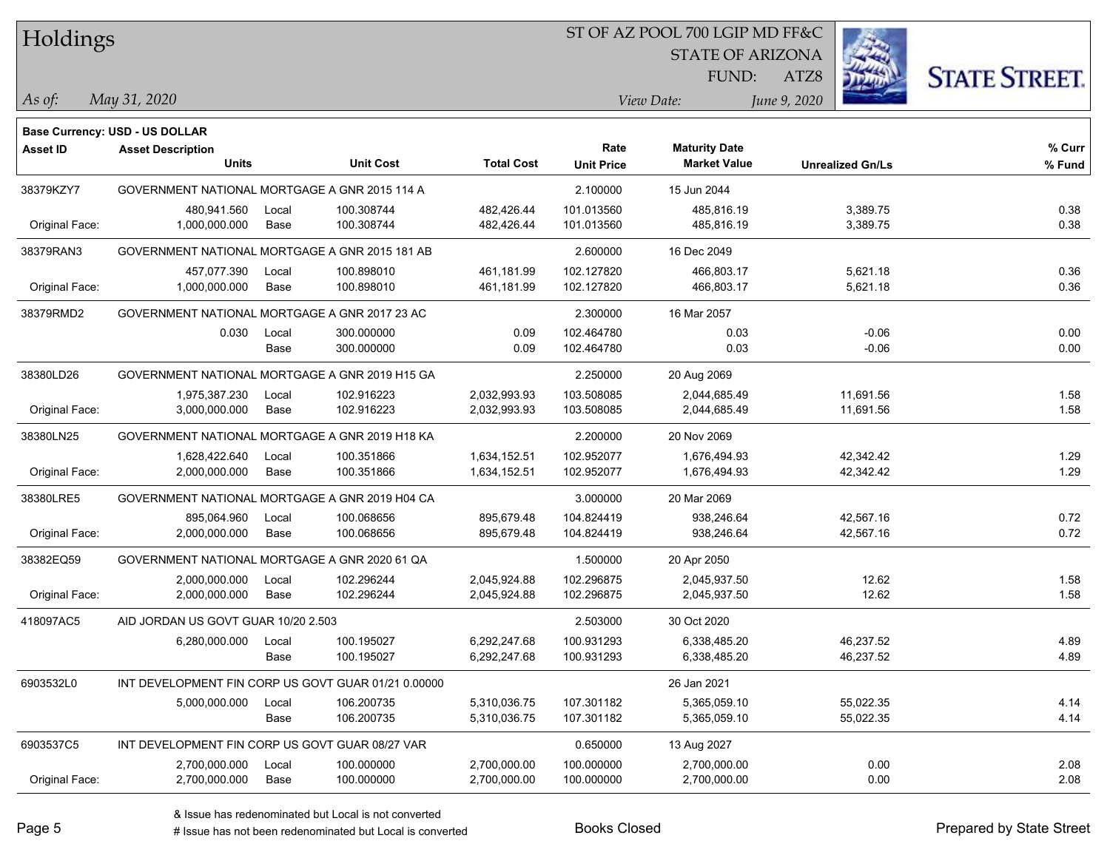## ST OF AZ POOL 700 LGIP MD FF&C

STATE OF ARIZONA

FUND:



*May 31, 2020 As of: View Date: June 9, 2020*

**Base Currency: USD - US DOLLAR**

ATZ8

| <b>Asset ID</b> | <b>Asset Description</b><br><b>Units</b>            |             | <b>Unit Cost</b> | <b>Total Cost</b> | Rate<br><b>Unit Price</b> | <b>Maturity Date</b><br><b>Market Value</b> | <b>Unrealized Gn/Ls</b> | % Curr<br>% Fund |
|-----------------|-----------------------------------------------------|-------------|------------------|-------------------|---------------------------|---------------------------------------------|-------------------------|------------------|
| 38379KZY7       | GOVERNMENT NATIONAL MORTGAGE A GNR 2015 114 A       |             |                  |                   | 2.100000                  | 15 Jun 2044                                 |                         |                  |
|                 | 480,941.560                                         | Local       | 100.308744       | 482,426.44        | 101.013560                | 485,816.19                                  | 3,389.75                | 0.38             |
| Original Face:  | 1,000,000.000                                       | Base        | 100.308744       | 482,426.44        | 101.013560                | 485,816.19                                  | 3,389.75                | 0.38             |
| 38379RAN3       | GOVERNMENT NATIONAL MORTGAGE A GNR 2015 181 AB      |             |                  |                   | 2.600000                  | 16 Dec 2049                                 |                         |                  |
|                 | 457,077.390                                         | Local       | 100.898010       | 461,181.99        | 102.127820                | 466,803.17                                  | 5,621.18                | 0.36             |
| Original Face:  | 1.000.000.000                                       | Base        | 100.898010       | 461,181.99        | 102.127820                | 466,803.17                                  | 5,621.18                | 0.36             |
| 38379RMD2       | GOVERNMENT NATIONAL MORTGAGE A GNR 2017 23 AC       |             |                  |                   | 2.300000                  | 16 Mar 2057                                 |                         |                  |
|                 | 0.030                                               | Local       | 300.000000       | 0.09              | 102.464780                | 0.03                                        | $-0.06$                 | 0.00             |
|                 |                                                     | <b>Base</b> | 300.000000       | 0.09              | 102.464780                | 0.03                                        | $-0.06$                 | 0.00             |
| 38380LD26       | GOVERNMENT NATIONAL MORTGAGE A GNR 2019 H15 GA      |             |                  |                   | 2.250000                  | 20 Aug 2069                                 |                         |                  |
|                 | 1,975,387.230                                       | Local       | 102.916223       | 2,032,993.93      | 103.508085                | 2,044,685.49                                | 11,691.56               | 1.58             |
| Original Face:  | 3,000,000.000                                       | Base        | 102.916223       | 2,032,993.93      | 103.508085                | 2,044,685.49                                | 11,691.56               | 1.58             |
| 38380LN25       | GOVERNMENT NATIONAL MORTGAGE A GNR 2019 H18 KA      |             |                  |                   | 2.200000                  | 20 Nov 2069                                 |                         |                  |
|                 | 1,628,422.640                                       | Local       | 100.351866       | 1,634,152.51      | 102.952077                | 1,676,494.93                                | 42,342.42               | 1.29             |
| Original Face:  | 2,000,000.000                                       | Base        | 100.351866       | 1,634,152.51      | 102.952077                | 1,676,494.93                                | 42,342.42               | 1.29             |
| 38380LRE5       | GOVERNMENT NATIONAL MORTGAGE A GNR 2019 H04 CA      |             |                  |                   | 3.000000                  | 20 Mar 2069                                 |                         |                  |
|                 | 895,064.960                                         | Local       | 100.068656       | 895,679.48        | 104.824419                | 938,246.64                                  | 42,567.16               | 0.72             |
| Original Face:  | 2,000,000.000                                       | Base        | 100.068656       | 895,679.48        | 104.824419                | 938,246.64                                  | 42,567.16               | 0.72             |
| 38382EQ59       | GOVERNMENT NATIONAL MORTGAGE A GNR 2020 61 QA       |             |                  |                   | 1.500000                  | 20 Apr 2050                                 |                         |                  |
|                 | 2,000,000.000                                       | Local       | 102.296244       | 2,045,924.88      | 102.296875                | 2,045,937.50                                | 12.62                   | 1.58             |
| Original Face:  | 2,000,000.000                                       | Base        | 102.296244       | 2,045,924.88      | 102.296875                | 2,045,937.50                                | 12.62                   | 1.58             |
| 418097AC5       | AID JORDAN US GOVT GUAR 10/20 2.503                 |             |                  |                   | 2.503000                  | 30 Oct 2020                                 |                         |                  |
|                 | 6,280,000.000                                       | Local       | 100.195027       | 6,292,247.68      | 100.931293                | 6,338,485.20                                | 46,237.52               | 4.89             |
|                 |                                                     | Base        | 100.195027       | 6,292,247.68      | 100.931293                | 6,338,485.20                                | 46,237.52               | 4.89             |
| 6903532L0       | INT DEVELOPMENT FIN CORP US GOVT GUAR 01/21 0.00000 |             |                  |                   |                           | 26 Jan 2021                                 |                         |                  |
|                 | 5,000,000.000                                       | Local       | 106.200735       | 5,310,036.75      | 107.301182                | 5,365,059.10                                | 55,022.35               | 4.14             |
|                 |                                                     | Base        | 106.200735       | 5,310,036.75      | 107.301182                | 5,365,059.10                                | 55,022.35               | 4.14             |
| 6903537C5       | INT DEVELOPMENT FIN CORP US GOVT GUAR 08/27 VAR     |             |                  |                   | 0.650000                  | 13 Aug 2027                                 |                         |                  |
|                 | 2,700,000.000                                       | Local       | 100.000000       | 2,700,000.00      | 100.000000                | 2,700,000.00                                | 0.00                    | 2.08             |
| Original Face:  | 2,700,000.000                                       | Base        | 100.000000       | 2,700,000.00      | 100.000000                | 2,700,000.00                                | 0.00                    | 2.08             |

 $\overline{\phantom{0}}$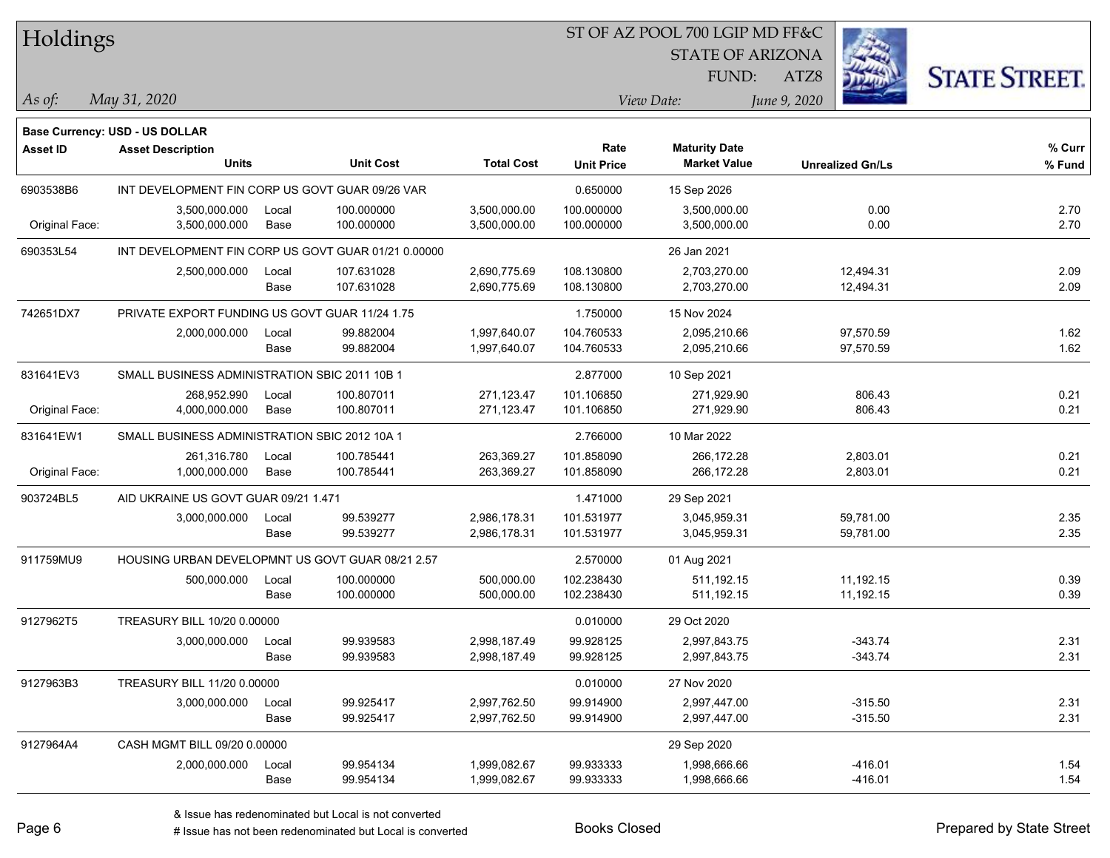| Holdings        |                                                     |       |                  |                   |                   | ST OF AZ POOL 700 LGIP MD FF&C |                         |                      |
|-----------------|-----------------------------------------------------|-------|------------------|-------------------|-------------------|--------------------------------|-------------------------|----------------------|
|                 |                                                     |       |                  |                   |                   | <b>STATE OF ARIZONA</b>        |                         |                      |
|                 |                                                     |       |                  |                   |                   | FUND:                          | ATZ8                    | <b>STATE STREET.</b> |
| As of:          | May 31, 2020                                        |       |                  |                   |                   | View Date:                     | June 9, 2020            |                      |
|                 | <b>Base Currency: USD - US DOLLAR</b>               |       |                  |                   |                   |                                |                         |                      |
| <b>Asset ID</b> | <b>Asset Description</b>                            |       |                  |                   | Rate              | <b>Maturity Date</b>           |                         | % Curr               |
|                 | <b>Units</b>                                        |       | <b>Unit Cost</b> | <b>Total Cost</b> | <b>Unit Price</b> | <b>Market Value</b>            | <b>Unrealized Gn/Ls</b> | % Fund               |
| 6903538B6       | INT DEVELOPMENT FIN CORP US GOVT GUAR 09/26 VAR     |       |                  |                   | 0.650000          | 15 Sep 2026                    |                         |                      |
|                 | 3,500,000.000                                       | Local | 100.000000       | 3,500,000.00      | 100.000000        | 3,500,000.00                   | 0.00                    | 2.70                 |
| Original Face:  | 3,500,000.000                                       | Base  | 100.000000       | 3,500,000.00      | 100.000000        | 3,500,000.00                   | 0.00                    | 2.70                 |
| 690353L54       | INT DEVELOPMENT FIN CORP US GOVT GUAR 01/21 0.00000 |       |                  |                   |                   | 26 Jan 2021                    |                         |                      |
|                 | 2,500,000.000                                       | Local | 107.631028       | 2,690,775.69      | 108.130800        | 2,703,270.00                   | 12,494.31               | 2.09                 |
|                 |                                                     | Base  | 107.631028       | 2,690,775.69      | 108.130800        | 2,703,270.00                   | 12,494.31               | 2.09                 |
| 742651DX7       | PRIVATE EXPORT FUNDING US GOVT GUAR 11/24 1.75      |       |                  |                   | 1.750000          | 15 Nov 2024                    |                         |                      |
|                 | 2,000,000.000                                       | Local | 99.882004        | 1,997,640.07      | 104.760533        | 2,095,210.66                   | 97,570.59               | 1.62                 |
|                 |                                                     | Base  | 99.882004        | 1,997,640.07      | 104.760533        | 2,095,210.66                   | 97,570.59               | 1.62                 |
| 831641EV3       | SMALL BUSINESS ADMINISTRATION SBIC 2011 10B 1       |       |                  |                   | 2.877000          | 10 Sep 2021                    |                         |                      |
|                 | 268,952.990                                         | Local | 100.807011       | 271,123.47        | 101.106850        | 271,929.90                     | 806.43                  | 0.21                 |
| Original Face:  | 4,000,000.000                                       | Base  | 100.807011       | 271,123.47        | 101.106850        | 271,929.90                     | 806.43                  | 0.21                 |
| 831641EW1       | SMALL BUSINESS ADMINISTRATION SBIC 2012 10A 1       |       |                  |                   | 2.766000          | 10 Mar 2022                    |                         |                      |
|                 | 261,316.780                                         | Local | 100.785441       | 263,369.27        | 101.858090        | 266,172.28                     | 2,803.01                | 0.21                 |
| Original Face:  | 1,000,000.000                                       | Base  | 100.785441       | 263,369.27        | 101.858090        | 266,172.28                     | 2,803.01                | 0.21                 |
| 903724BL5       | AID UKRAINE US GOVT GUAR 09/21 1.471                |       |                  |                   | 1.471000          | 29 Sep 2021                    |                         |                      |
|                 | 3,000,000.000                                       | Local | 99.539277        | 2,986,178.31      | 101.531977        | 3,045,959.31                   | 59,781.00               | 2.35                 |
|                 |                                                     | Base  | 99.539277        | 2,986,178.31      | 101.531977        | 3,045,959.31                   | 59,781.00               | 2.35                 |
| 911759MU9       | HOUSING URBAN DEVELOPMNT US GOVT GUAR 08/21 2.57    |       |                  |                   | 2.570000          | 01 Aug 2021                    |                         |                      |
|                 | 500,000.000                                         | Local | 100.000000       | 500,000.00        | 102.238430        | 511,192.15                     | 11,192.15               | 0.39                 |
|                 |                                                     | Base  | 100.000000       | 500,000.00        | 102.238430        | 511,192.15                     | 11,192.15               | 0.39                 |
| 9127962T5       | TREASURY BILL 10/20 0.00000                         |       |                  |                   | 0.010000          | 29 Oct 2020                    |                         |                      |
|                 | 3,000,000.000                                       | Local | 99.939583        | 2,998,187.49      | 99.928125         | 2,997,843.75                   | -343.74                 | 2.31                 |
|                 |                                                     | Base  | 99.939583        | 2,998,187.49      | 99.928125         | 2,997,843.75                   | $-343.74$               | 2.31                 |
| 9127963B3       | TREASURY BILL 11/20 0.00000                         |       |                  |                   | 0.010000          | 27 Nov 2020                    |                         |                      |
|                 | 3,000,000.000                                       | Local | 99.925417        | 2,997,762.50      | 99.914900         | 2,997,447.00                   | $-315.50$               | 2.31                 |
|                 |                                                     | Base  | 99.925417        | 2,997,762.50      | 99.914900         | 2,997,447.00                   | $-315.50$               | 2.31                 |
| 9127964A4       | CASH MGMT BILL 09/20 0.00000                        |       |                  |                   |                   | 29 Sep 2020                    |                         |                      |
|                 | 2,000,000.000                                       | Local | 99.954134        | 1,999,082.67      | 99.933333         | 1,998,666.66                   | $-416.01$               | 1.54                 |
|                 |                                                     | Base  | 99.954134        | 1,999,082.67      | 99.933333         | 1,998,666.66                   | $-416.01$               | 1.54                 |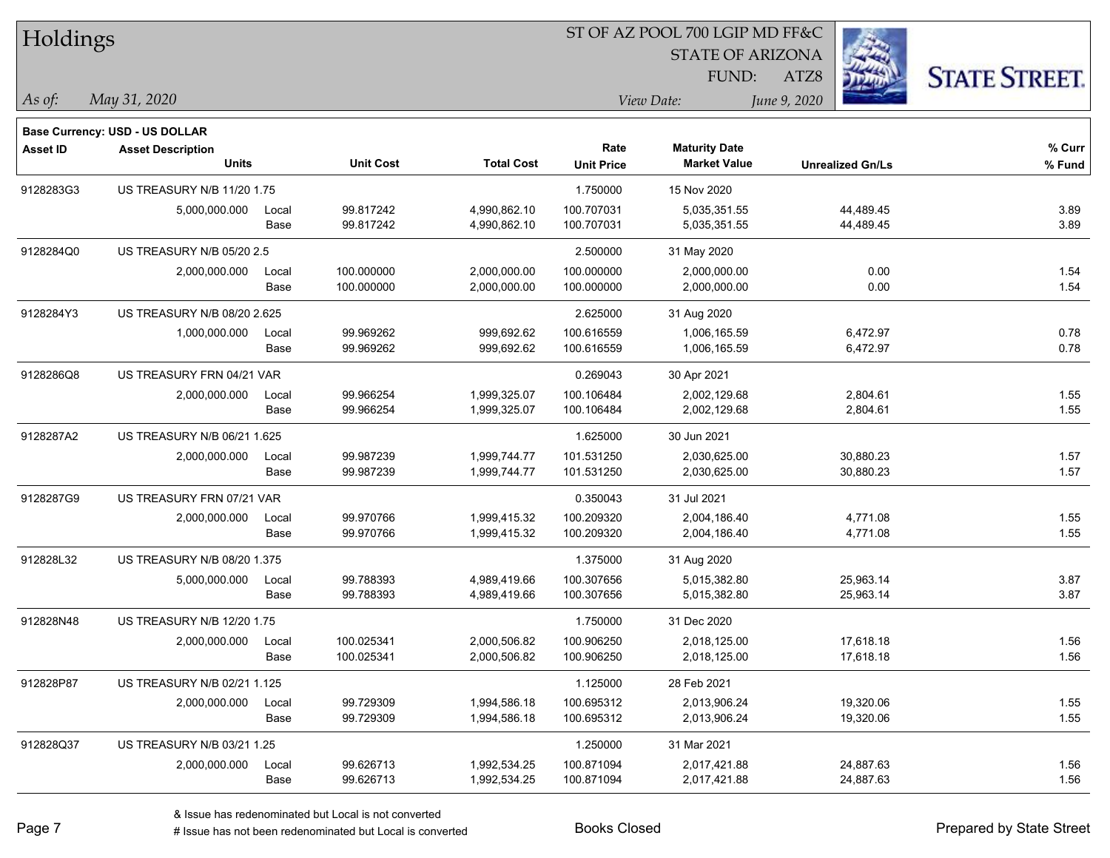| Holdings        |                                                            |       |                  |                   |                   | ST OF AZ POOL 700 LGIP MD FF&C |                         |                      |
|-----------------|------------------------------------------------------------|-------|------------------|-------------------|-------------------|--------------------------------|-------------------------|----------------------|
|                 |                                                            |       |                  |                   |                   | <b>STATE OF ARIZONA</b>        |                         |                      |
|                 |                                                            |       |                  |                   |                   | FUND:                          | ATZ8                    | <b>STATE STREET.</b> |
| As of:          | May 31, 2020                                               |       |                  |                   |                   | View Date:                     | June 9, 2020            |                      |
|                 |                                                            |       |                  |                   |                   |                                |                         |                      |
| <b>Asset ID</b> | Base Currency: USD - US DOLLAR<br><b>Asset Description</b> |       |                  |                   | Rate              | <b>Maturity Date</b>           |                         | % Curr               |
|                 | Units                                                      |       | <b>Unit Cost</b> | <b>Total Cost</b> | <b>Unit Price</b> | <b>Market Value</b>            | <b>Unrealized Gn/Ls</b> | % Fund               |
| 9128283G3       | <b>US TREASURY N/B 11/20 1.75</b>                          |       |                  |                   | 1.750000          | 15 Nov 2020                    |                         |                      |
|                 | 5,000,000.000                                              | Local | 99.817242        | 4,990,862.10      | 100.707031        | 5,035,351.55                   | 44,489.45               | 3.89                 |
|                 |                                                            | Base  | 99.817242        | 4,990,862.10      | 100.707031        | 5,035,351.55                   | 44,489.45               | 3.89                 |
| 9128284Q0       | US TREASURY N/B 05/20 2.5                                  |       |                  |                   | 2.500000          | 31 May 2020                    |                         |                      |
|                 | 2,000,000.000                                              | Local | 100.000000       | 2,000,000.00      | 100.000000        | 2,000,000.00                   | 0.00                    | 1.54                 |
|                 |                                                            | Base  | 100.000000       | 2,000,000.00      | 100.000000        | 2,000,000.00                   | 0.00                    | 1.54                 |
| 9128284Y3       | US TREASURY N/B 08/20 2.625                                |       |                  |                   | 2.625000          | 31 Aug 2020                    |                         |                      |
|                 | 1,000,000.000                                              | Local | 99.969262        | 999,692.62        | 100.616559        | 1,006,165.59                   | 6,472.97                | 0.78                 |
|                 |                                                            | Base  | 99.969262        | 999,692.62        | 100.616559        | 1,006,165.59                   | 6,472.97                | 0.78                 |
| 9128286Q8       | US TREASURY FRN 04/21 VAR                                  |       |                  |                   | 0.269043          | 30 Apr 2021                    |                         |                      |
|                 | 2,000,000.000                                              | Local | 99.966254        | 1,999,325.07      | 100.106484        | 2,002,129.68                   | 2,804.61                | 1.55                 |
|                 |                                                            | Base  | 99.966254        | 1,999,325.07      | 100.106484        | 2,002,129.68                   | 2,804.61                | 1.55                 |
| 9128287A2       | US TREASURY N/B 06/21 1.625                                |       |                  |                   | 1.625000          | 30 Jun 2021                    |                         |                      |
|                 | 2,000,000.000                                              | Local | 99.987239        | 1,999,744.77      | 101.531250        | 2,030,625.00                   | 30,880.23               | 1.57                 |
|                 |                                                            | Base  | 99.987239        | 1,999,744.77      | 101.531250        | 2,030,625.00                   | 30,880.23               | 1.57                 |
| 9128287G9       | US TREASURY FRN 07/21 VAR                                  |       |                  |                   | 0.350043          | 31 Jul 2021                    |                         |                      |
|                 | 2,000,000.000                                              | Local | 99.970766        | 1,999,415.32      | 100.209320        | 2,004,186.40                   | 4,771.08                | 1.55                 |
|                 |                                                            | Base  | 99.970766        | 1,999,415.32      | 100.209320        | 2,004,186.40                   | 4,771.08                | 1.55                 |
| 912828L32       | US TREASURY N/B 08/20 1.375                                |       |                  |                   | 1.375000          | 31 Aug 2020                    |                         |                      |
|                 | 5,000,000.000                                              | Local | 99.788393        | 4,989,419.66      | 100.307656        | 5,015,382.80                   | 25,963.14               | 3.87                 |
|                 |                                                            | Base  | 99.788393        | 4,989,419.66      | 100.307656        | 5,015,382.80                   | 25,963.14               | 3.87                 |
| 912828N48       | US TREASURY N/B 12/20 1.75                                 |       |                  |                   | 1.750000          | 31 Dec 2020                    |                         |                      |
|                 | 2,000,000.000                                              | Local | 100.025341       | 2,000,506.82      | 100.906250        | 2,018,125.00                   | 17,618.18               | 1.56                 |
|                 |                                                            | Base  | 100.025341       | 2,000,506.82      | 100.906250        | 2,018,125.00                   | 17,618.18               | 1.56                 |
| 912828P87       | US TREASURY N/B 02/21 1.125                                |       |                  |                   | 1.125000          | 28 Feb 2021                    |                         |                      |
|                 | 2,000,000.000                                              | Local | 99.729309        | 1,994,586.18      | 100.695312        | 2,013,906.24                   | 19,320.06               | 1.55                 |
|                 |                                                            | Base  | 99.729309        | 1,994,586.18      | 100.695312        | 2,013,906.24                   | 19,320.06               | 1.55                 |
| 912828Q37       | US TREASURY N/B 03/21 1.25                                 |       |                  |                   | 1.250000          | 31 Mar 2021                    |                         |                      |
|                 | 2,000,000.000                                              | Local | 99.626713        | 1,992,534.25      | 100.871094        | 2,017,421.88                   | 24,887.63               | 1.56                 |
|                 |                                                            | Base  | 99.626713        | 1,992,534.25      | 100.871094        | 2,017,421.88                   | 24,887.63               | 1.56                 |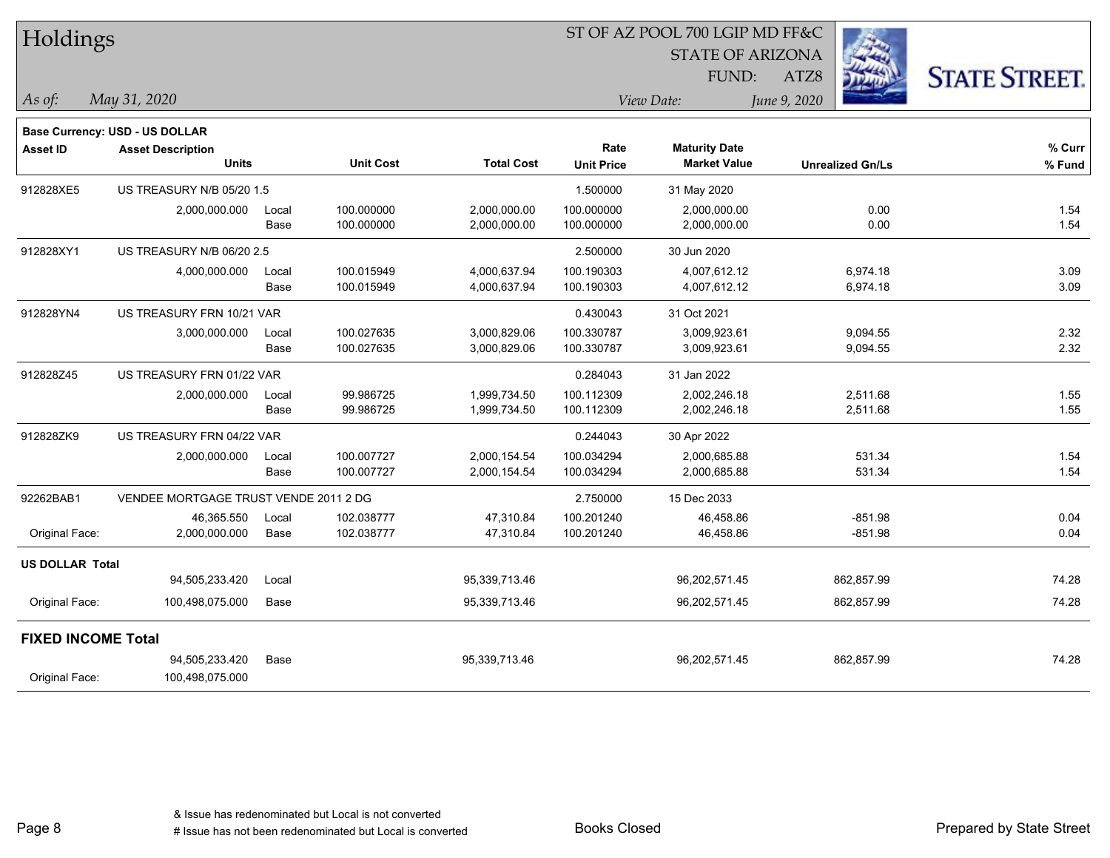| Holdings                  |                                          |       |                  |                   |                           | ST OF AZ POOL 700 LGIP MD FF&C              |                         |                      |
|---------------------------|------------------------------------------|-------|------------------|-------------------|---------------------------|---------------------------------------------|-------------------------|----------------------|
|                           |                                          |       |                  |                   |                           | <b>STATE OF ARIZONA</b>                     |                         |                      |
|                           |                                          |       |                  |                   |                           | FUND:                                       | ATZ8                    | <b>STATE STREET.</b> |
| As of:                    | May 31, 2020                             |       |                  |                   |                           | View Date:                                  | June 9, 2020            |                      |
|                           | Base Currency: USD - US DOLLAR           |       |                  |                   |                           |                                             |                         |                      |
| <b>Asset ID</b>           | <b>Asset Description</b><br><b>Units</b> |       | <b>Unit Cost</b> | <b>Total Cost</b> | Rate<br><b>Unit Price</b> | <b>Maturity Date</b><br><b>Market Value</b> | <b>Unrealized Gn/Ls</b> | % Curr<br>% Fund     |
| 912828XE5                 | US TREASURY N/B 05/20 1.5                |       |                  |                   | 1.500000                  | 31 May 2020                                 |                         |                      |
|                           | 2,000,000.000                            | Local | 100.000000       | 2,000,000.00      | 100.000000                | 2,000,000.00                                | 0.00                    | 1.54                 |
|                           |                                          | Base  | 100.000000       | 2,000,000.00      | 100.000000                | 2,000,000.00                                | 0.00                    | 1.54                 |
| 912828XY1                 | US TREASURY N/B 06/20 2.5                |       |                  |                   | 2.500000                  | 30 Jun 2020                                 |                         |                      |
|                           | 4,000,000.000                            | Local | 100.015949       | 4,000,637.94      | 100.190303                | 4,007,612.12                                | 6,974.18                | 3.09                 |
|                           |                                          | Base  | 100.015949       | 4,000,637.94      | 100.190303                | 4,007,612.12                                | 6,974.18                | 3.09                 |
| 912828YN4                 | US TREASURY FRN 10/21 VAR                |       |                  |                   | 0.430043                  | 31 Oct 2021                                 |                         |                      |
|                           | 3,000,000.000                            | Local | 100.027635       | 3,000,829.06      | 100.330787                | 3,009,923.61                                | 9,094.55                | 2.32                 |
|                           |                                          | Base  | 100.027635       | 3,000,829.06      | 100.330787                | 3,009,923.61                                | 9,094.55                | 2.32                 |
| 912828Z45                 | US TREASURY FRN 01/22 VAR                |       |                  |                   | 0.284043                  | 31 Jan 2022                                 |                         |                      |
|                           | 2,000,000.000                            | Local | 99.986725        | 1,999,734.50      | 100.112309                | 2,002,246.18                                | 2,511.68                | 1.55                 |
|                           |                                          | Base  | 99.986725        | 1,999,734.50      | 100.112309                | 2,002,246.18                                | 2,511.68                | 1.55                 |
| 912828ZK9                 | US TREASURY FRN 04/22 VAR                |       |                  |                   | 0.244043                  | 30 Apr 2022                                 |                         |                      |
|                           | 2,000,000.000                            | Local | 100.007727       | 2,000,154.54      | 100.034294                | 2,000,685.88                                | 531.34                  | 1.54                 |
|                           |                                          | Base  | 100.007727       | 2,000,154.54      | 100.034294                | 2,000,685.88                                | 531.34                  | 1.54                 |
| 92262BAB1                 | VENDEE MORTGAGE TRUST VENDE 2011 2 DG    |       |                  |                   | 2.750000                  | 15 Dec 2033                                 |                         |                      |
|                           | 46,365.550                               | Local | 102.038777       | 47,310.84         | 100.201240                | 46,458.86                                   | $-851.98$               | 0.04                 |
| Original Face:            | 2,000,000.000                            | Base  | 102.038777       | 47,310.84         | 100.201240                | 46,458.86                                   | $-851.98$               | 0.04                 |
| <b>US DOLLAR Total</b>    |                                          |       |                  |                   |                           |                                             |                         |                      |
|                           | 94,505,233.420                           | Local |                  | 95,339,713.46     |                           | 96,202,571.45                               | 862,857.99              | 74.28                |
| Original Face:            | 100,498,075.000                          | Base  |                  | 95,339,713.46     |                           | 96,202,571.45                               | 862,857.99              | 74.28                |
| <b>FIXED INCOME Total</b> |                                          |       |                  |                   |                           |                                             |                         |                      |
|                           | 94,505,233.420                           | Base  |                  | 95,339,713.46     |                           | 96,202,571.45                               | 862,857.99              | 74.28                |
| Original Face:            | 100,498,075.000                          |       |                  |                   |                           |                                             |                         |                      |

Page 8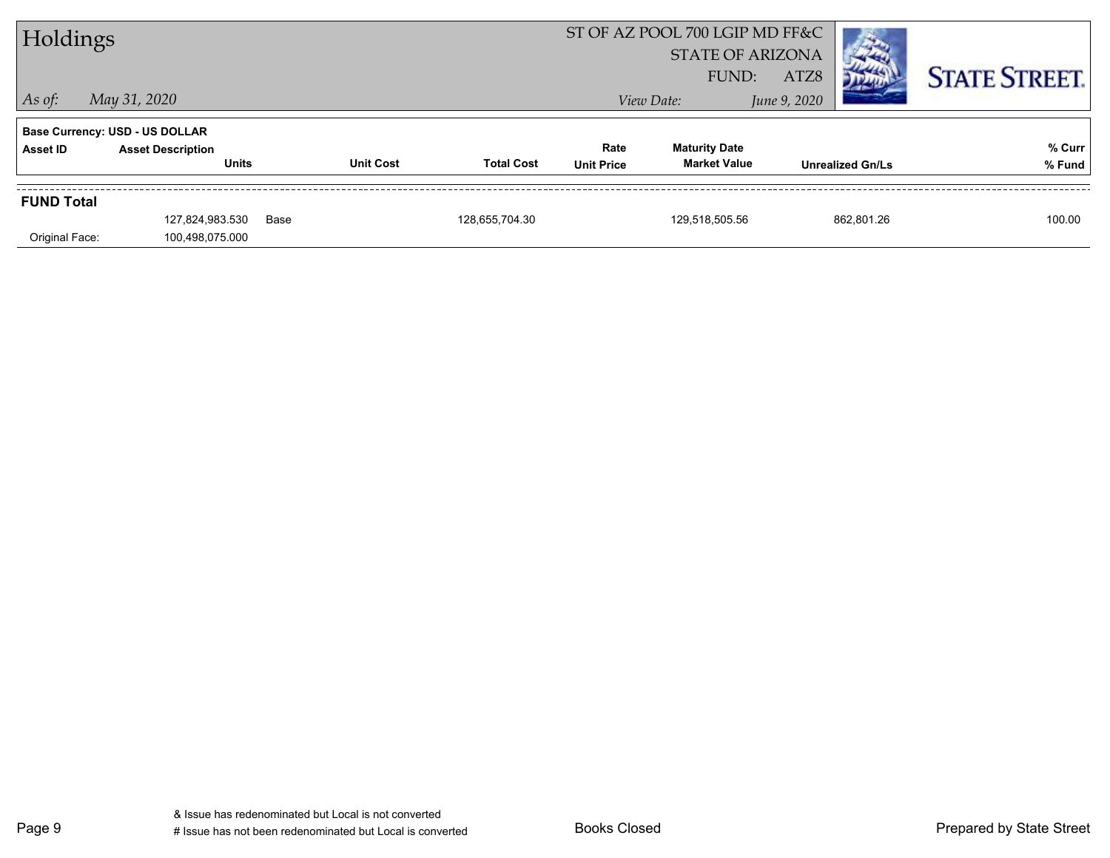| Holdings          |                                          |      |                  |                   | ST OF AZ POOL 700 LGIP MD FF&C<br><b>STATE OF ARIZONA</b><br>ATZ8<br>FUND: |                                             |              |                         | <b>STATE STREET.</b> |
|-------------------|------------------------------------------|------|------------------|-------------------|----------------------------------------------------------------------------|---------------------------------------------|--------------|-------------------------|----------------------|
| $\vert$ As of:    | May 31, 2020                             |      |                  |                   |                                                                            | View Date:                                  | June 9, 2020 |                         |                      |
|                   | <b>Base Currency: USD - US DOLLAR</b>    |      |                  |                   |                                                                            |                                             |              |                         |                      |
| Asset ID          | <b>Asset Description</b><br><b>Units</b> |      | <b>Unit Cost</b> | <b>Total Cost</b> | Rate<br><b>Unit Price</b>                                                  | <b>Maturity Date</b><br><b>Market Value</b> |              | <b>Unrealized Gn/Ls</b> | % Curr<br>% Fund     |
| <b>FUND Total</b> |                                          |      |                  |                   |                                                                            |                                             |              |                         |                      |
| Original Face:    | 127,824,983.530<br>100,498,075.000       | Base |                  | 128.655.704.30    |                                                                            | 129.518.505.56                              |              | 862.801.26              | 100.00               |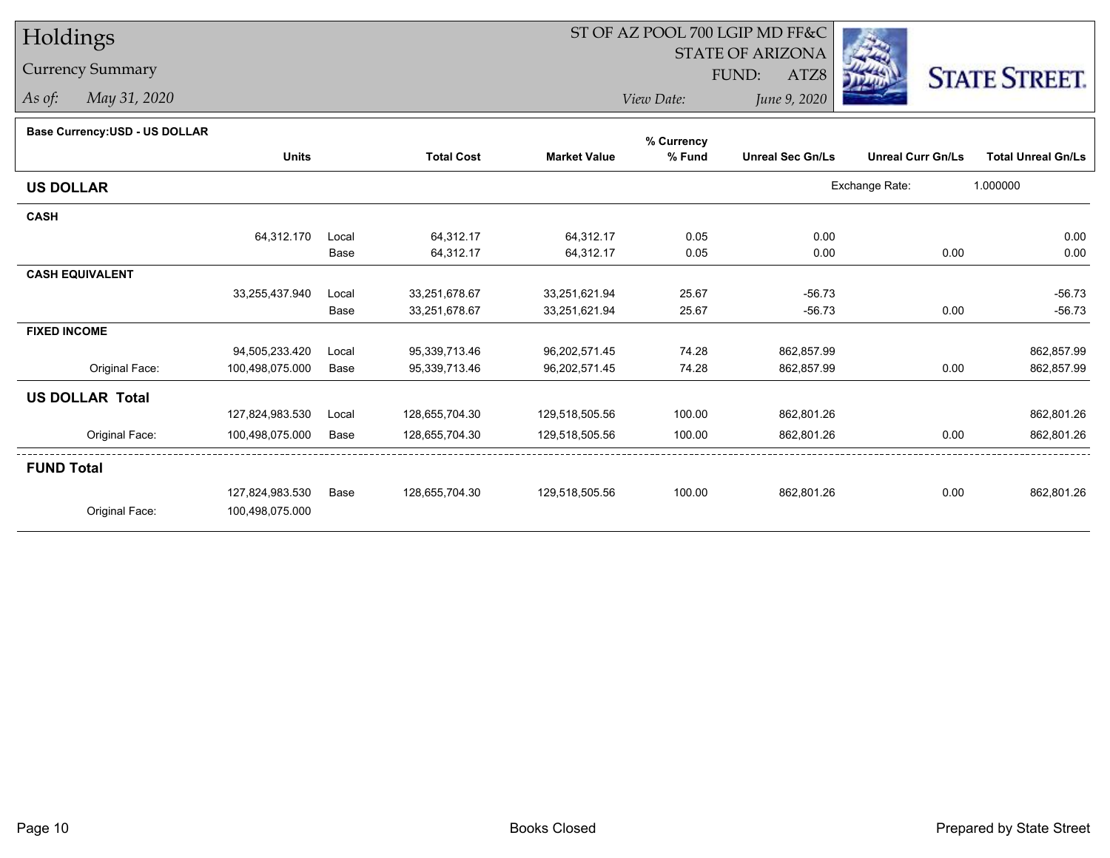Currency Summary

*As of: May 31, 2020*

# ST OF AZ POOL 700 LGIP MD FF&C

STATE OF ARIZONA

ATZ8



*View Date:June 9, 2020*

FUND:

**Base Currency:USD - US DOLLAR**

|                        |                 |       |                   |                     | % Currency |                         |                          |                           |
|------------------------|-----------------|-------|-------------------|---------------------|------------|-------------------------|--------------------------|---------------------------|
|                        | <b>Units</b>    |       | <b>Total Cost</b> | <b>Market Value</b> | % Fund     | <b>Unreal Sec Gn/Ls</b> | <b>Unreal Curr Gn/Ls</b> | <b>Total Unreal Gn/Ls</b> |
| <b>US DOLLAR</b>       |                 |       |                   |                     |            |                         | Exchange Rate:           | 1.000000                  |
| <b>CASH</b>            |                 |       |                   |                     |            |                         |                          |                           |
|                        | 64,312.170      | Local | 64,312.17         | 64,312.17           | 0.05       | 0.00                    |                          | 0.00                      |
|                        |                 | Base  | 64,312.17         | 64,312.17           | 0.05       | 0.00                    | 0.00                     | 0.00                      |
| <b>CASH EQUIVALENT</b> |                 |       |                   |                     |            |                         |                          |                           |
|                        | 33,255,437.940  | Local | 33,251,678.67     | 33,251,621.94       | 25.67      | $-56.73$                |                          | $-56.73$                  |
|                        |                 | Base  | 33,251,678.67     | 33,251,621.94       | 25.67      | $-56.73$                | 0.00                     | $-56.73$                  |
| <b>FIXED INCOME</b>    |                 |       |                   |                     |            |                         |                          |                           |
|                        | 94,505,233.420  | Local | 95,339,713.46     | 96,202,571.45       | 74.28      | 862,857.99              |                          | 862,857.99                |
| Original Face:         | 100,498,075.000 | Base  | 95,339,713.46     | 96,202,571.45       | 74.28      | 862,857.99              | 0.00                     | 862,857.99                |
| <b>US DOLLAR Total</b> |                 |       |                   |                     |            |                         |                          |                           |
|                        | 127,824,983.530 | Local | 128,655,704.30    | 129,518,505.56      | 100.00     | 862,801.26              |                          | 862,801.26                |
| Original Face:         | 100,498,075.000 | Base  | 128,655,704.30    | 129,518,505.56      | 100.00     | 862,801.26              | 0.00                     | 862,801.26                |
| <b>FUND Total</b>      |                 |       |                   |                     |            |                         |                          |                           |
|                        | 127,824,983.530 | Base  | 128,655,704.30    | 129,518,505.56      | 100.00     | 862,801.26              | 0.00                     | 862,801.26                |
| Original Face:         | 100,498,075.000 |       |                   |                     |            |                         |                          |                           |
|                        |                 |       |                   |                     |            |                         |                          |                           |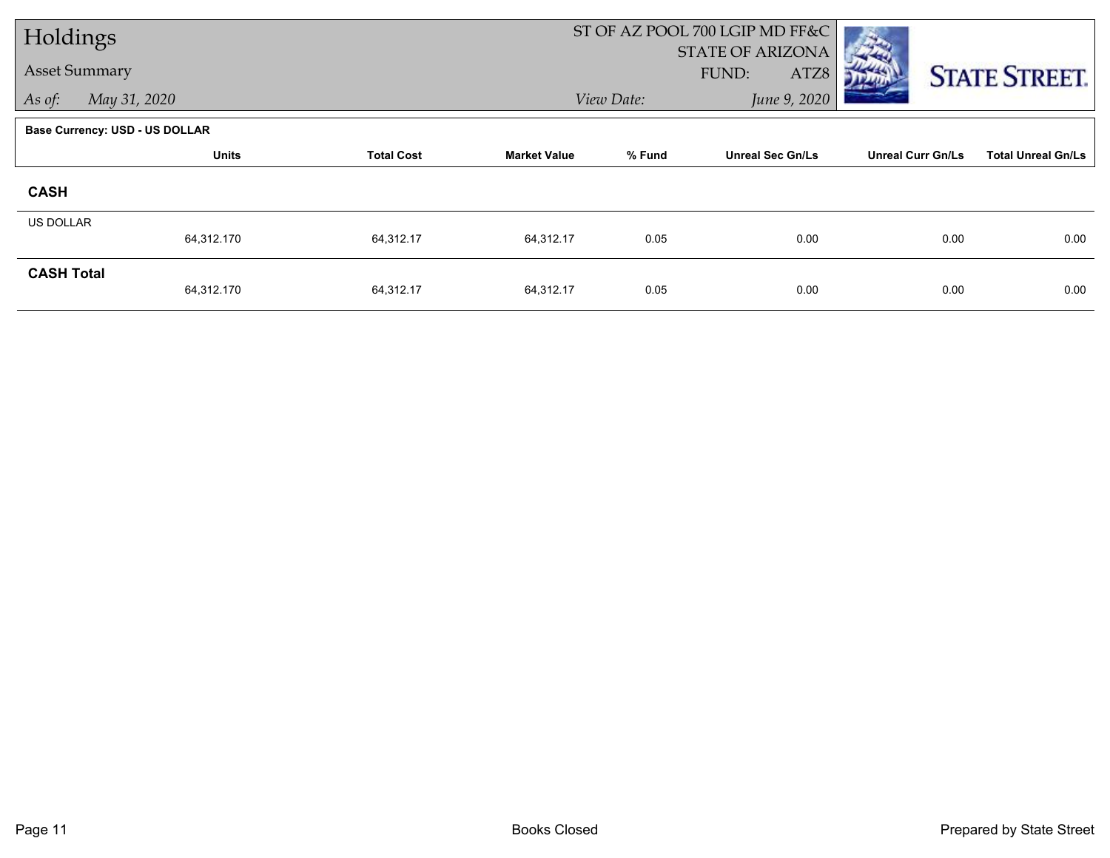| Holdings          |                                       |                   |                     |            | ST OF AZ POOL 700 LGIP MD FF&C           |                          |                           |
|-------------------|---------------------------------------|-------------------|---------------------|------------|------------------------------------------|--------------------------|---------------------------|
|                   | <b>Asset Summary</b>                  |                   |                     |            | <b>STATE OF ARIZONA</b><br>FUND:<br>ATZ8 |                          | <b>STATE STREET.</b>      |
| As of:            | May 31, 2020                          |                   |                     | View Date: | June 9, 2020                             |                          |                           |
|                   | <b>Base Currency: USD - US DOLLAR</b> |                   |                     |            |                                          |                          |                           |
|                   | <b>Units</b>                          | <b>Total Cost</b> | <b>Market Value</b> | % Fund     | <b>Unreal Sec Gn/Ls</b>                  | <b>Unreal Curr Gn/Ls</b> | <b>Total Unreal Gn/Ls</b> |
| <b>CASH</b>       |                                       |                   |                     |            |                                          |                          |                           |
| US DOLLAR         |                                       |                   |                     |            |                                          |                          |                           |
|                   | 64,312.170                            | 64,312.17         | 64,312.17           | 0.05       | 0.00                                     | 0.00                     | 0.00                      |
| <b>CASH Total</b> | 64,312.170                            | 64,312.17         | 64,312.17           | 0.05       | 0.00                                     | 0.00                     | 0.00                      |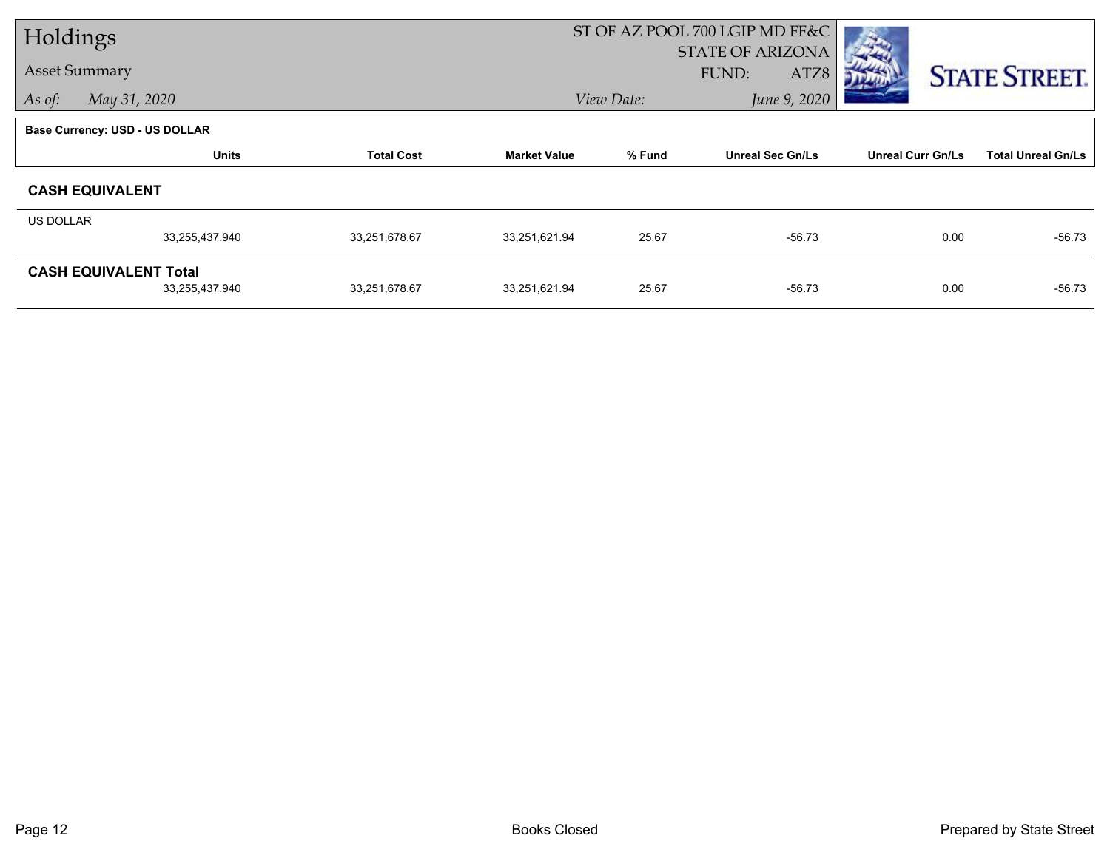| Holdings                       |                |                   |                     |            | ST OF AZ POOL 700 LGIP MD FF&C |                          |                           |
|--------------------------------|----------------|-------------------|---------------------|------------|--------------------------------|--------------------------|---------------------------|
|                                |                |                   |                     |            | <b>STATE OF ARIZONA</b>        |                          |                           |
| <b>Asset Summary</b>           |                |                   |                     |            | FUND:<br>ATZ8                  |                          | <b>STATE STREET.</b>      |
| As of:<br>May 31, 2020         |                |                   |                     | View Date: | June 9, 2020                   |                          |                           |
| Base Currency: USD - US DOLLAR |                |                   |                     |            |                                |                          |                           |
|                                | <b>Units</b>   | <b>Total Cost</b> | <b>Market Value</b> | % Fund     | <b>Unreal Sec Gn/Ls</b>        | <b>Unreal Curr Gn/Ls</b> | <b>Total Unreal Gn/Ls</b> |
| <b>CASH EQUIVALENT</b>         |                |                   |                     |            |                                |                          |                           |
| US DOLLAR                      |                |                   |                     |            |                                |                          |                           |
|                                | 33,255,437.940 | 33,251,678.67     | 33,251,621.94       | 25.67      | $-56.73$                       | 0.00                     | $-56.73$                  |
| <b>CASH EQUIVALENT Total</b>   |                |                   |                     |            |                                |                          |                           |
|                                | 33,255,437.940 | 33,251,678.67     | 33,251,621.94       | 25.67      | $-56.73$                       | 0.00                     | $-56.73$                  |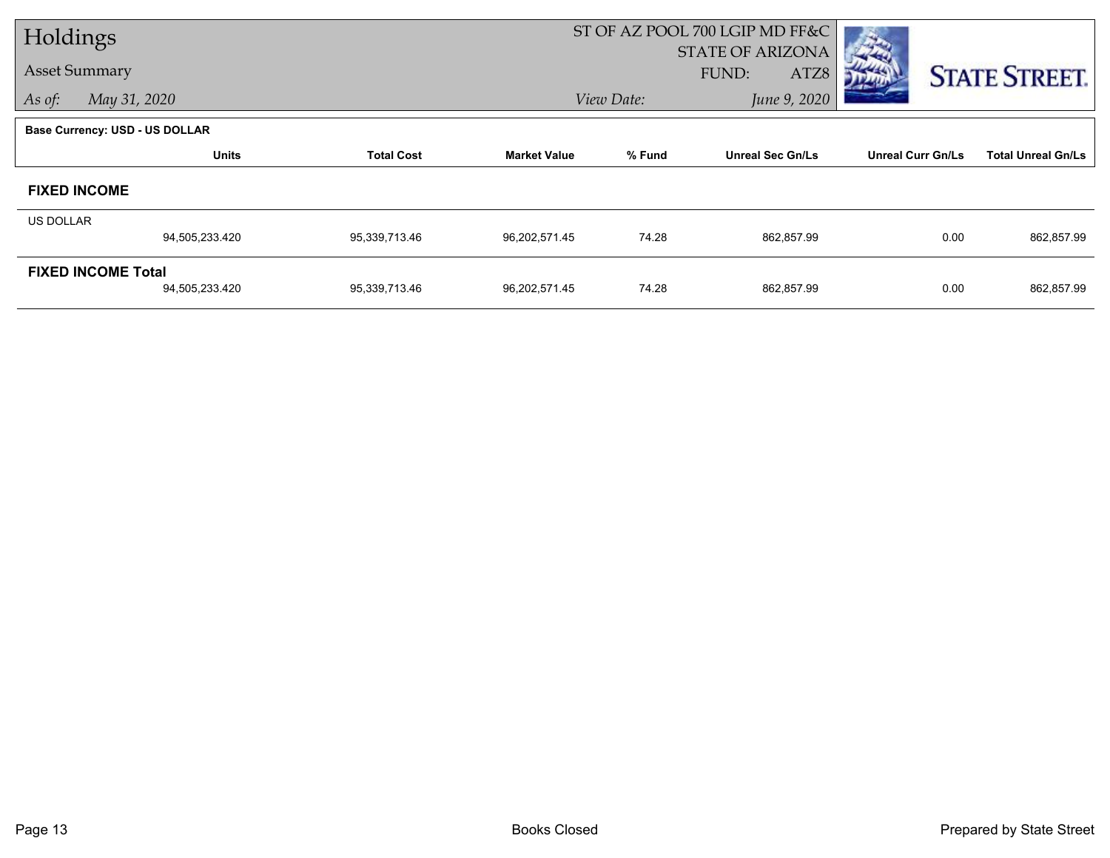| Holdings             |                                |                   |                     | ST OF AZ POOL 700 LGIP MD FF&C   |                         |                          |                           |  |
|----------------------|--------------------------------|-------------------|---------------------|----------------------------------|-------------------------|--------------------------|---------------------------|--|
| <b>Asset Summary</b> |                                |                   |                     | <b>STATE OF ARIZONA</b><br>FUND: |                         |                          |                           |  |
|                      |                                |                   |                     |                                  | ATZ8                    |                          | <b>STATE STREET.</b>      |  |
| As of:               | May 31, 2020                   |                   |                     | View Date:                       | June 9, 2020            |                          |                           |  |
|                      | Base Currency: USD - US DOLLAR |                   |                     |                                  |                         |                          |                           |  |
|                      | <b>Units</b>                   | <b>Total Cost</b> | <b>Market Value</b> | % Fund                           | <b>Unreal Sec Gn/Ls</b> | <b>Unreal Curr Gn/Ls</b> | <b>Total Unreal Gn/Ls</b> |  |
|                      | <b>FIXED INCOME</b>            |                   |                     |                                  |                         |                          |                           |  |
| US DOLLAR            |                                |                   |                     |                                  |                         |                          |                           |  |
|                      | 94,505,233.420                 | 95,339,713.46     | 96,202,571.45       | 74.28                            | 862,857.99              | 0.00                     | 862,857.99                |  |
|                      | <b>FIXED INCOME Total</b>      |                   |                     |                                  |                         |                          |                           |  |
|                      | 94,505,233.420                 | 95,339,713.46     | 96,202,571.45       | 74.28                            | 862,857.99              | 0.00                     | 862,857.99                |  |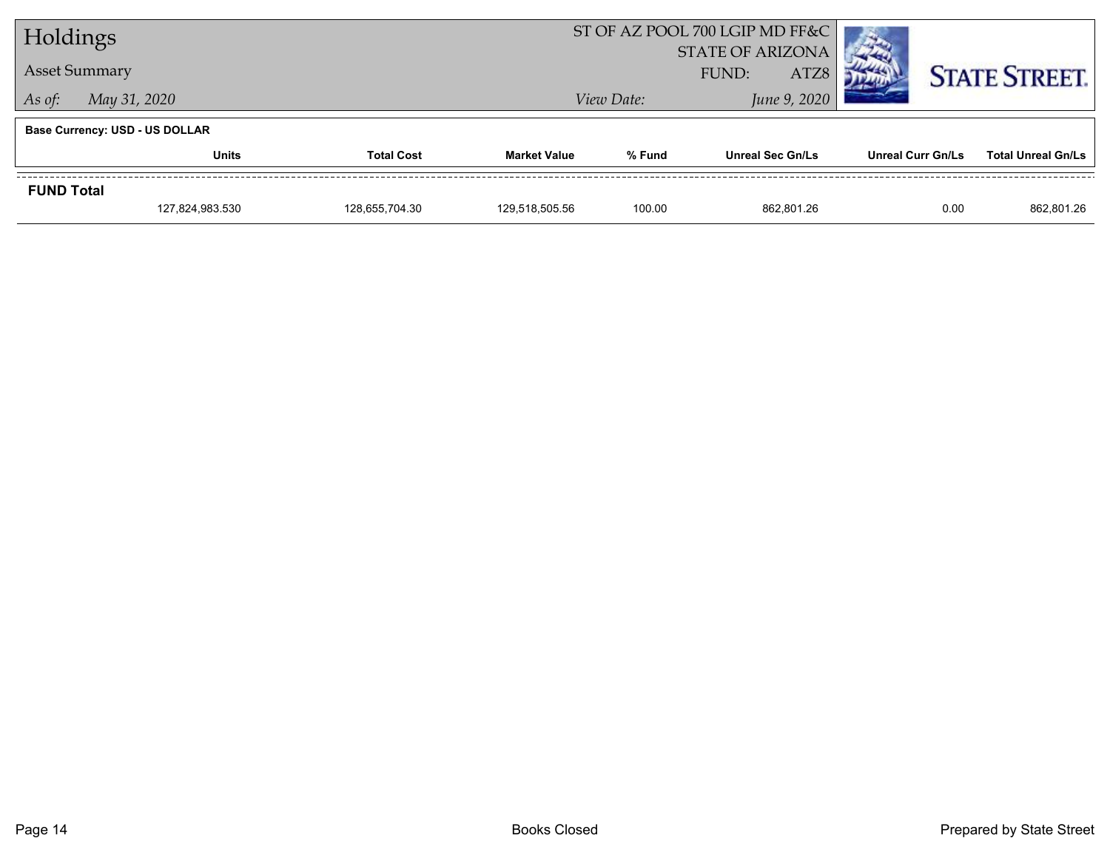| Holdings                              |                 |                   |                     | ST OF AZ POOL 700 LGIP MD FF&C           |                         |                   |                           |  |
|---------------------------------------|-----------------|-------------------|---------------------|------------------------------------------|-------------------------|-------------------|---------------------------|--|
| <b>Asset Summary</b>                  |                 |                   |                     | <b>STATE OF ARIZONA</b><br>FUND:<br>ATZ8 |                         |                   | <b>STATE STREET.</b>      |  |
| May 31, 2020<br>As of:                |                 |                   |                     | View Date:                               | June 9, 2020            |                   |                           |  |
| <b>Base Currency: USD - US DOLLAR</b> |                 |                   |                     |                                          |                         |                   |                           |  |
|                                       | <b>Units</b>    | <b>Total Cost</b> | <b>Market Value</b> | % Fund                                   | <b>Unreal Sec Gn/Ls</b> | Unreal Curr Gn/Ls | <b>Total Unreal Gn/Ls</b> |  |
| <b>FUND Total</b>                     |                 |                   |                     |                                          |                         |                   |                           |  |
|                                       | 127,824,983.530 | 128,655,704.30    | 129,518,505.56      | 100.00                                   | 862,801.26              | 0.00              | 862,801.26                |  |